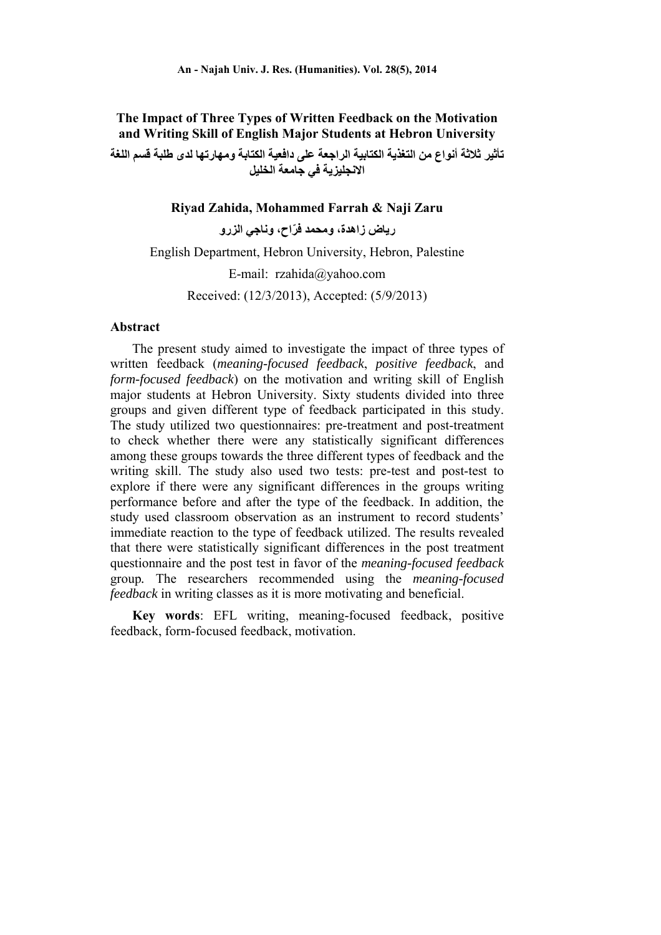# **The Impact of Three Types of Written Feedback on the Motivation and Writing Skill of English Major Students at Hebron University**

**تأثير ثالثة أنواع من التغذية الكتابية الراجعة على دافعية الكتابة ومھارتھا لدى طلبة قسم اللغة االنجليزية في جامعة الخليل**

### **Riyad Zahida, Mohammed Farrah & Naji Zaru**

**رياض زاھدة، ومحمد ّفراح، وناجي الزرو** 

English Department, Hebron University, Hebron, Palestine E-mail: rzahida@yahoo.com Received: (12/3/2013), Accepted: (5/9/2013)

#### **Abstract**

The present study aimed to investigate the impact of three types of written feedback (*meaning-focused feedback*, *positive feedback*, and *form-focused feedback*) on the motivation and writing skill of English major students at Hebron University. Sixty students divided into three groups and given different type of feedback participated in this study. The study utilized two questionnaires: pre-treatment and post-treatment to check whether there were any statistically significant differences among these groups towards the three different types of feedback and the writing skill. The study also used two tests: pre-test and post-test to explore if there were any significant differences in the groups writing performance before and after the type of the feedback. In addition, the study used classroom observation as an instrument to record students' immediate reaction to the type of feedback utilized. The results revealed that there were statistically significant differences in the post treatment questionnaire and the post test in favor of the *meaning-focused feedback*  group*.* The researchers recommended using the *meaning-focused feedback* in writing classes as it is more motivating and beneficial.

**Key words**: EFL writing, meaning-focused feedback, positive feedback, form-focused feedback, motivation.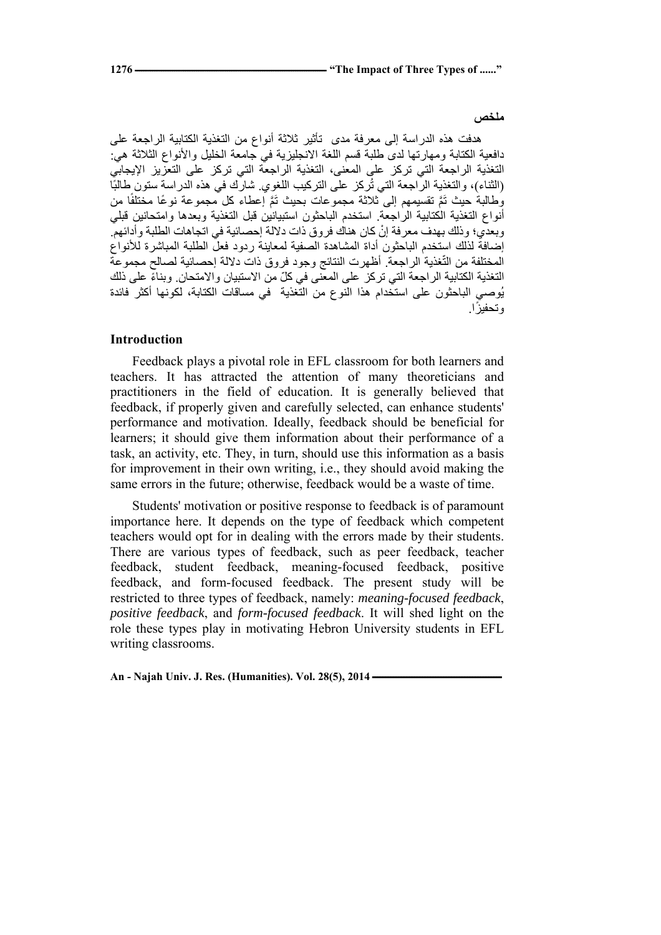#### **ملخص**

ھدفت ھذه الدراسة إلى معرفة مدى تأثير ثالثة أنواع من التغذية الكتابية الراجعة على دافعية الكتابة ومھارتھا لدى طلبة قسم اللغة الانجليزية في جامعة الخليل والأنواع الثلاثة هي: التغذية الراجعة التي تركز على المعنى، التغذية الراجعة التي تركز على التعزيز اإليجابي (الثناء)، والتغذية الراجعة التي تُركز على التركيب اللغوي شارك في هذه الدراسة ستون طالبًا وُطالبةٌ حيث نَمَّ نقسيمهم إلى ثلاثة مجموعات بحيث نَمَّ إعطاء كل مجموعة نوعًا مختلفًا من أنواع التغذية الكتابية الراجعة. استخدم الباحثون استبيانين قبل التغذية وبعدھا وامتحانين قبلي وبعدي؛ وذلك بهدف معرفة إنْ كان هناك فروق ذات دلالة إحصائية في اتجاهات الطلبة وأدائهم. إضافة لذلك استخدم الباحثون أداة المشاھدة الصفية لمعاينة ردود فعل الطلبة المباشرة لألنواع المختلفة من التغذية الراجعة. أظھرت النتائج وجود فروق ذات داللة إحصائية لصالح مجموعة ّ التغذية الكتابية الراجعة التي تركز على المعنى في كلّ من الاستبيان والامتحان. وبناءً على ذلك يُوصي الباحثون على استخدام ھذا النوع من التغذية في مساقات الكتابة، لكونھا أكثر فائدة وتحفيزًا.

## **Introduction**

Feedback plays a pivotal role in EFL classroom for both learners and teachers. It has attracted the attention of many theoreticians and practitioners in the field of education. It is generally believed that feedback, if properly given and carefully selected, can enhance students' performance and motivation. Ideally, feedback should be beneficial for learners; it should give them information about their performance of a task, an activity, etc. They, in turn, should use this information as a basis for improvement in their own writing, i.e., they should avoid making the same errors in the future; otherwise, feedback would be a waste of time.

Students' motivation or positive response to feedback is of paramount importance here. It depends on the type of feedback which competent teachers would opt for in dealing with the errors made by their students. There are various types of feedback, such as peer feedback, teacher feedback, student feedback, meaning-focused feedback, positive feedback, and form-focused feedback. The present study will be restricted to three types of feedback, namely: *meaning-focused feedback*, *positive feedback*, and *form-focused feedback*. It will shed light on the role these types play in motivating Hebron University students in EFL writing classrooms.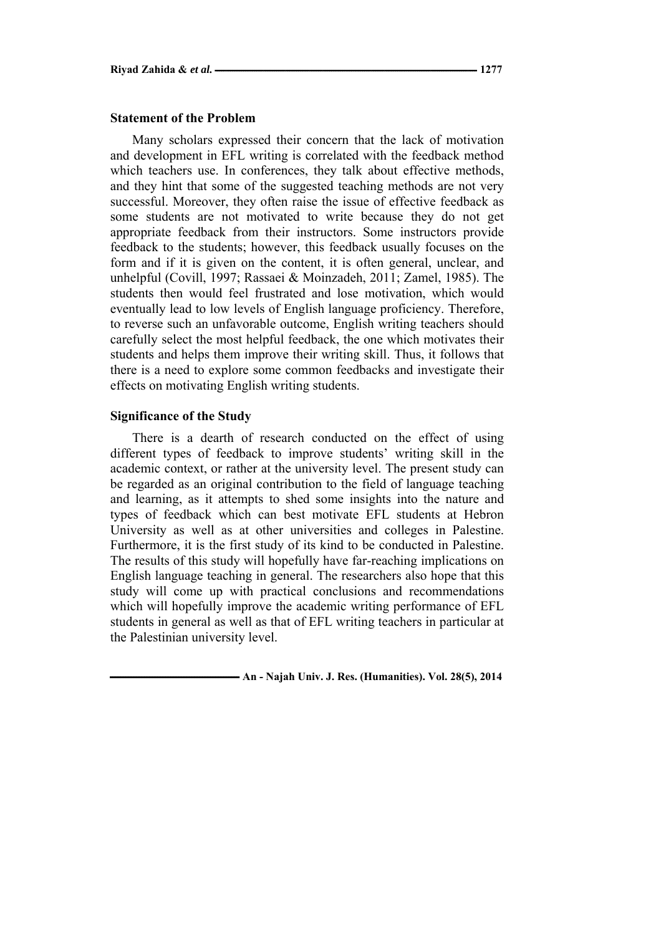#### **Statement of the Problem**

Many scholars expressed their concern that the lack of motivation and development in EFL writing is correlated with the feedback method which teachers use. In conferences, they talk about effective methods, and they hint that some of the suggested teaching methods are not very successful. Moreover, they often raise the issue of effective feedback as some students are not motivated to write because they do not get appropriate feedback from their instructors. Some instructors provide feedback to the students; however, this feedback usually focuses on the form and if it is given on the content, it is often general, unclear, and unhelpful (Covill, 1997; Rassaei & Moinzadeh, 2011; Zamel, 1985). The students then would feel frustrated and lose motivation, which would eventually lead to low levels of English language proficiency. Therefore, to reverse such an unfavorable outcome, English writing teachers should carefully select the most helpful feedback, the one which motivates their students and helps them improve their writing skill. Thus, it follows that there is a need to explore some common feedbacks and investigate their effects on motivating English writing students.

### **Significance of the Study**

There is a dearth of research conducted on the effect of using different types of feedback to improve students' writing skill in the academic context, or rather at the university level. The present study can be regarded as an original contribution to the field of language teaching and learning, as it attempts to shed some insights into the nature and types of feedback which can best motivate EFL students at Hebron University as well as at other universities and colleges in Palestine. Furthermore, it is the first study of its kind to be conducted in Palestine. The results of this study will hopefully have far-reaching implications on English language teaching in general. The researchers also hope that this study will come up with practical conclusions and recommendations which will hopefully improve the academic writing performance of EFL students in general as well as that of EFL writing teachers in particular at the Palestinian university level.

 $-$  An - Najah Univ. J. Res. (Humanities). Vol. 28(5), 2014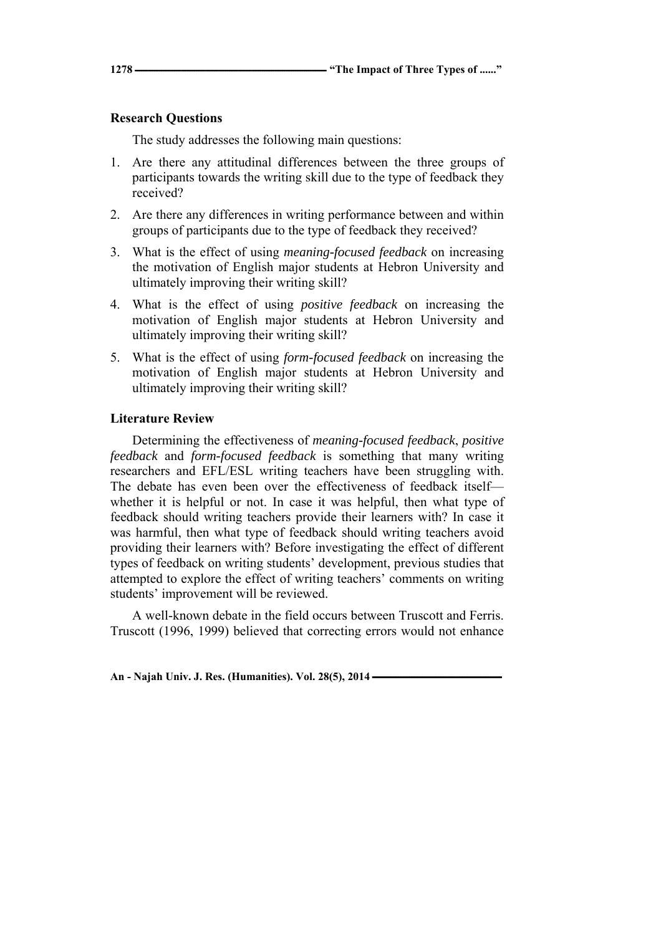## **Research Questions**

The study addresses the following main questions:

- 1. Are there any attitudinal differences between the three groups of participants towards the writing skill due to the type of feedback they received?
- 2. Are there any differences in writing performance between and within groups of participants due to the type of feedback they received?
- 3. What is the effect of using *meaning-focused feedback* on increasing the motivation of English major students at Hebron University and ultimately improving their writing skill?
- 4. What is the effect of using *positive feedback* on increasing the motivation of English major students at Hebron University and ultimately improving their writing skill?
- 5. What is the effect of using *form-focused feedback* on increasing the motivation of English major students at Hebron University and ultimately improving their writing skill?

## **Literature Review**

Determining the effectiveness of *meaning-focused feedback*, *positive feedback* and *form-focused feedback* is something that many writing researchers and EFL/ESL writing teachers have been struggling with. The debate has even been over the effectiveness of feedback itself whether it is helpful or not. In case it was helpful, then what type of feedback should writing teachers provide their learners with? In case it was harmful, then what type of feedback should writing teachers avoid providing their learners with? Before investigating the effect of different types of feedback on writing students' development, previous studies that attempted to explore the effect of writing teachers' comments on writing students' improvement will be reviewed.

A well-known debate in the field occurs between Truscott and Ferris. Truscott (1996, 1999) believed that correcting errors would not enhance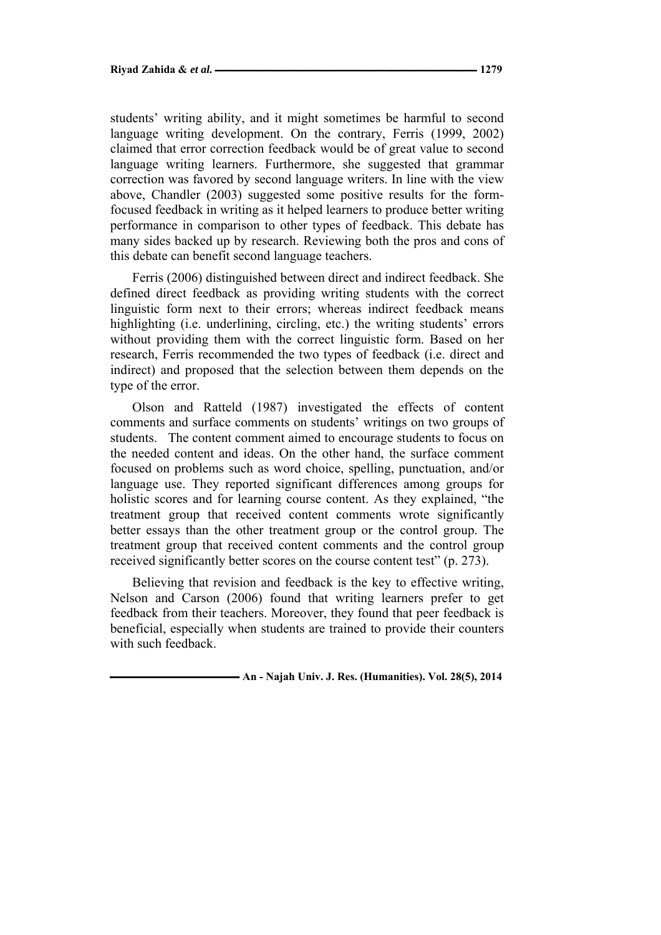students' writing ability, and it might sometimes be harmful to second language writing development. On the contrary, Ferris (1999, 2002) claimed that error correction feedback would be of great value to second language writing learners. Furthermore, she suggested that grammar correction was favored by second language writers. In line with the view above, Chandler (2003) suggested some positive results for the formfocused feedback in writing as it helped learners to produce better writing performance in comparison to other types of feedback. This debate has many sides backed up by research. Reviewing both the pros and cons of this debate can benefit second language teachers.

Ferris (2006) distinguished between direct and indirect feedback. She defined direct feedback as providing writing students with the correct linguistic form next to their errors; whereas indirect feedback means highlighting (i.e. underlining, circling, etc.) the writing students' errors without providing them with the correct linguistic form. Based on her research, Ferris recommended the two types of feedback (i.e. direct and indirect) and proposed that the selection between them depends on the type of the error.

Olson and Ratteld (1987) investigated the effects of content comments and surface comments on students' writings on two groups of students. The content comment aimed to encourage students to focus on the needed content and ideas. On the other hand, the surface comment focused on problems such as word choice, spelling, punctuation, and/or language use. They reported significant differences among groups for holistic scores and for learning course content. As they explained, "the treatment group that received content comments wrote significantly better essays than the other treatment group or the control group. The treatment group that received content comments and the control group received significantly better scores on the course content test" (p. 273).

Believing that revision and feedback is the key to effective writing, Nelson and Carson (2006) found that writing learners prefer to get feedback from their teachers. Moreover, they found that peer feedback is beneficial, especially when students are trained to provide their counters with such feedback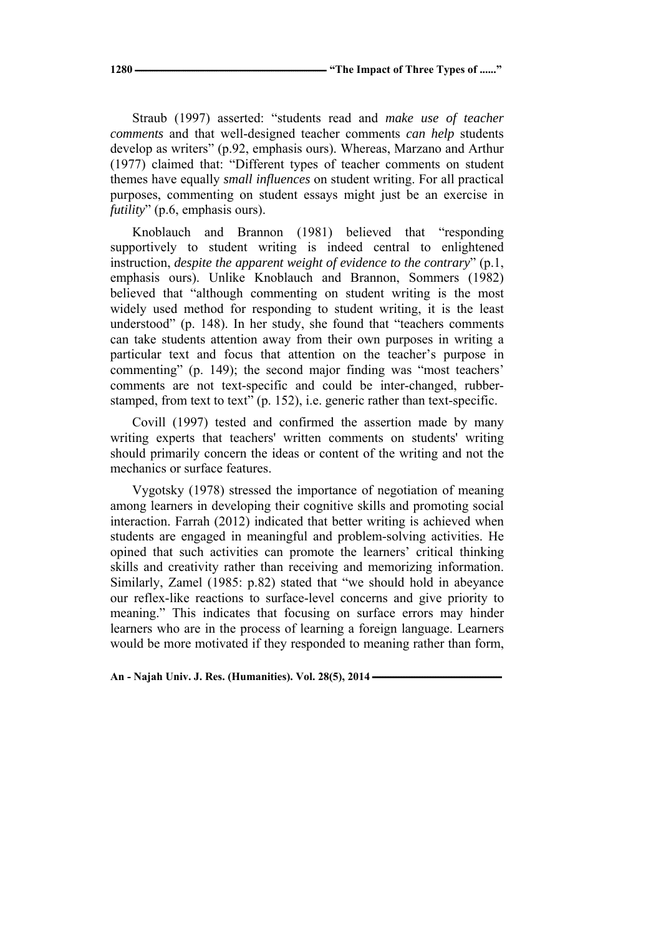**1280 ـــــــــــــــــــــــــــــــــــــــــــــــــــــــــــــــــــــــــــــــــــــــ" The Impact of Three Types of ......"** 

Straub (1997) asserted: "students read and *make use of teacher comments* and that well-designed teacher comments *can help* students develop as writers" (p.92, emphasis ours). Whereas, Marzano and Arthur (1977) claimed that: "Different types of teacher comments on student themes have equally *small influences* on student writing. For all practical purposes, commenting on student essays might just be an exercise in *futility*" (p.6, emphasis ours).

Knoblauch and Brannon (1981) believed that "responding supportively to student writing is indeed central to enlightened instruction, *despite the apparent weight of evidence to the contrary*" (p.1, emphasis ours). Unlike Knoblauch and Brannon, Sommers (1982) believed that "although commenting on student writing is the most widely used method for responding to student writing, it is the least understood" (p. 148). In her study, she found that "teachers comments can take students attention away from their own purposes in writing a particular text and focus that attention on the teacher's purpose in commenting" (p. 149); the second major finding was "most teachers' comments are not text-specific and could be inter-changed, rubberstamped, from text to text" (p. 152), i.e. generic rather than text-specific.

Covill (1997) tested and confirmed the assertion made by many writing experts that teachers' written comments on students' writing should primarily concern the ideas or content of the writing and not the mechanics or surface features.

Vygotsky (1978) stressed the importance of negotiation of meaning among learners in developing their cognitive skills and promoting social interaction. Farrah (2012) indicated that better writing is achieved when students are engaged in meaningful and problem-solving activities. He opined that such activities can promote the learners' critical thinking skills and creativity rather than receiving and memorizing information. Similarly, Zamel (1985: p.82) stated that "we should hold in abeyance our reflex-like reactions to surface-level concerns and give priority to meaning." This indicates that focusing on surface errors may hinder learners who are in the process of learning a foreign language. Learners would be more motivated if they responded to meaning rather than form,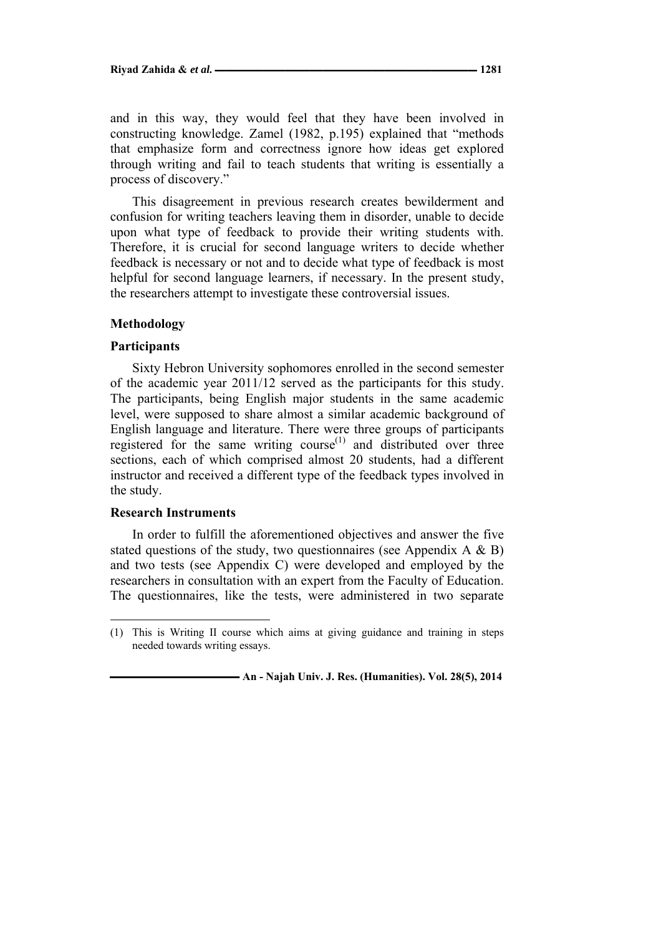and in this way, they would feel that they have been involved in constructing knowledge. Zamel (1982, p.195) explained that "methods that emphasize form and correctness ignore how ideas get explored through writing and fail to teach students that writing is essentially a process of discovery."

This disagreement in previous research creates bewilderment and confusion for writing teachers leaving them in disorder, unable to decide upon what type of feedback to provide their writing students with. Therefore, it is crucial for second language writers to decide whether feedback is necessary or not and to decide what type of feedback is most helpful for second language learners, if necessary. In the present study, the researchers attempt to investigate these controversial issues.

### **Methodology**

#### **Participants**

Sixty Hebron University sophomores enrolled in the second semester of the academic year 2011/12 served as the participants for this study. The participants, being English major students in the same academic level, were supposed to share almost a similar academic background of English language and literature. There were three groups of participants registered for the same writing course $<sup>(1)</sup>$  and distributed over three</sup> sections, each of which comprised almost 20 students, had a different instructor and received a different type of the feedback types involved in the study.

### **Research Instruments**

In order to fulfill the aforementioned objectives and answer the five stated questions of the study, two questionnaires (see Appendix  $A \& B$ ) and two tests (see Appendix C) were developed and employed by the researchers in consultation with an expert from the Faculty of Education. The questionnaires, like the tests, were administered in two separate

<sup>(1)</sup> This is Writing II course which aims at giving guidance and training in steps needed towards writing essays.

**ـــــــــــــــــــــــــــــــــــــــــــــــــ An - Najah Univ. J. Res. (Humanities). Vol. 28(5), 2014**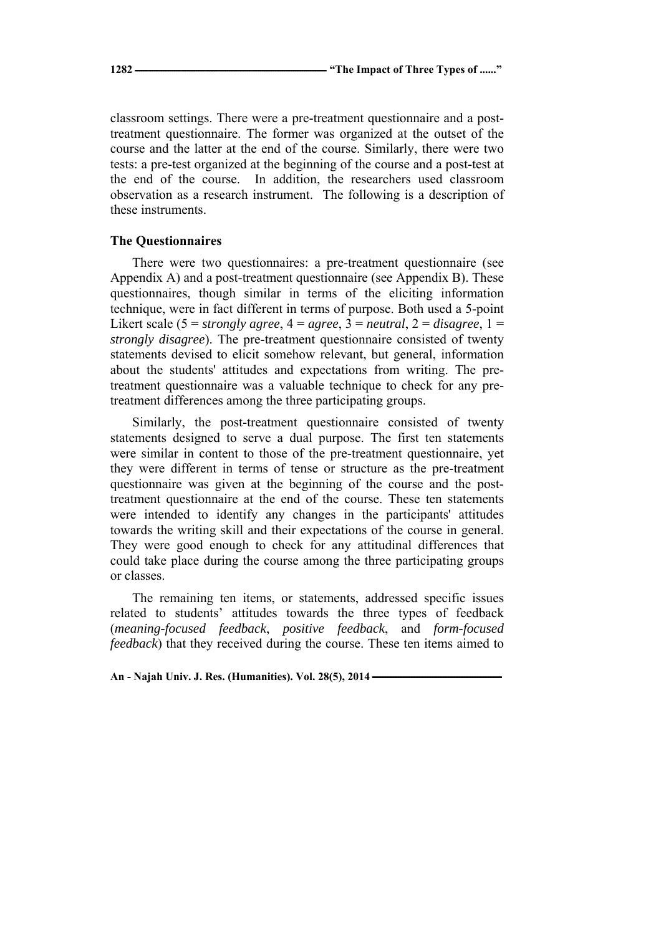classroom settings. There were a pre-treatment questionnaire and a posttreatment questionnaire. The former was organized at the outset of the course and the latter at the end of the course. Similarly, there were two tests: a pre-test organized at the beginning of the course and a post-test at the end of the course. In addition, the researchers used classroom observation as a research instrument. The following is a description of these instruments.

## **The Questionnaires**

There were two questionnaires: a pre-treatment questionnaire (see Appendix A) and a post-treatment questionnaire (see Appendix B). These questionnaires, though similar in terms of the eliciting information technique, were in fact different in terms of purpose. Both used a 5-point Likert scale ( $5 =$  *strongly agree*,  $4 =$  *agree*,  $3 =$  *neutral*,  $2 =$  *disagree*,  $1 =$ *strongly disagree*). The pre-treatment questionnaire consisted of twenty statements devised to elicit somehow relevant, but general, information about the students' attitudes and expectations from writing. The pretreatment questionnaire was a valuable technique to check for any pretreatment differences among the three participating groups.

Similarly, the post-treatment questionnaire consisted of twenty statements designed to serve a dual purpose. The first ten statements were similar in content to those of the pre-treatment questionnaire, yet they were different in terms of tense or structure as the pre-treatment questionnaire was given at the beginning of the course and the posttreatment questionnaire at the end of the course. These ten statements were intended to identify any changes in the participants' attitudes towards the writing skill and their expectations of the course in general. They were good enough to check for any attitudinal differences that could take place during the course among the three participating groups or classes.

The remaining ten items, or statements, addressed specific issues related to students' attitudes towards the three types of feedback (*meaning-focused feedback*, *positive feedback*, and *form-focused feedback*) that they received during the course. These ten items aimed to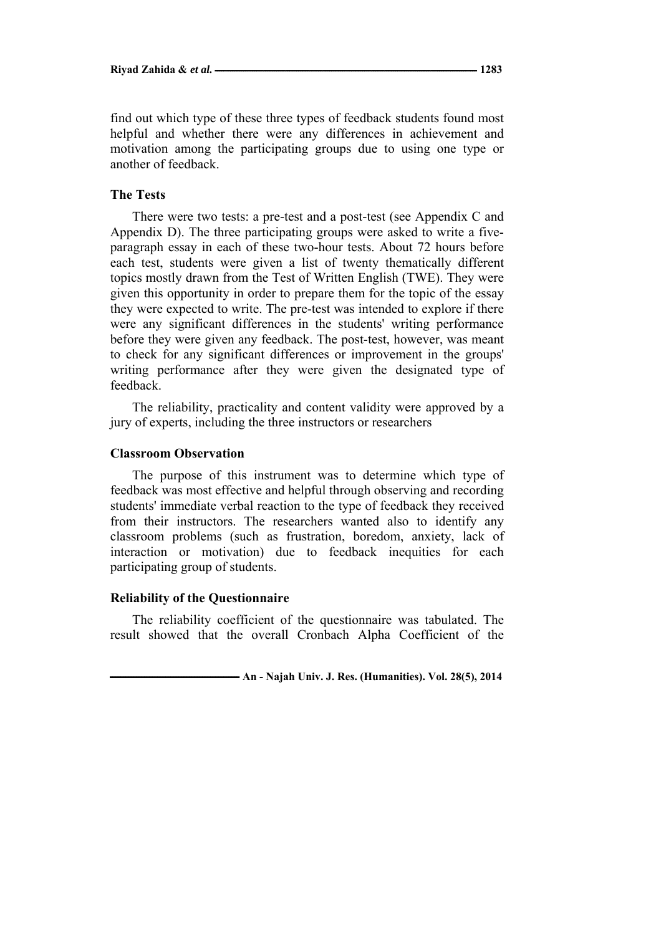find out which type of these three types of feedback students found most helpful and whether there were any differences in achievement and motivation among the participating groups due to using one type or another of feedback.

# **The Tests**

There were two tests: a pre-test and a post-test (see Appendix C and Appendix D). The three participating groups were asked to write a fiveparagraph essay in each of these two-hour tests. About 72 hours before each test, students were given a list of twenty thematically different topics mostly drawn from the Test of Written English (TWE). They were given this opportunity in order to prepare them for the topic of the essay they were expected to write. The pre-test was intended to explore if there were any significant differences in the students' writing performance before they were given any feedback. The post-test, however, was meant to check for any significant differences or improvement in the groups' writing performance after they were given the designated type of feedback.

The reliability, practicality and content validity were approved by a jury of experts, including the three instructors or researchers

## **Classroom Observation**

The purpose of this instrument was to determine which type of feedback was most effective and helpful through observing and recording students' immediate verbal reaction to the type of feedback they received from their instructors. The researchers wanted also to identify any classroom problems (such as frustration, boredom, anxiety, lack of interaction or motivation) due to feedback inequities for each participating group of students.

#### **Reliability of the Questionnaire**

The reliability coefficient of the questionnaire was tabulated. The result showed that the overall Cronbach Alpha Coefficient of the

 $\blacksquare$  **An - Najah Univ. J. Res. (Humanities). Vol. 28(5), 2014**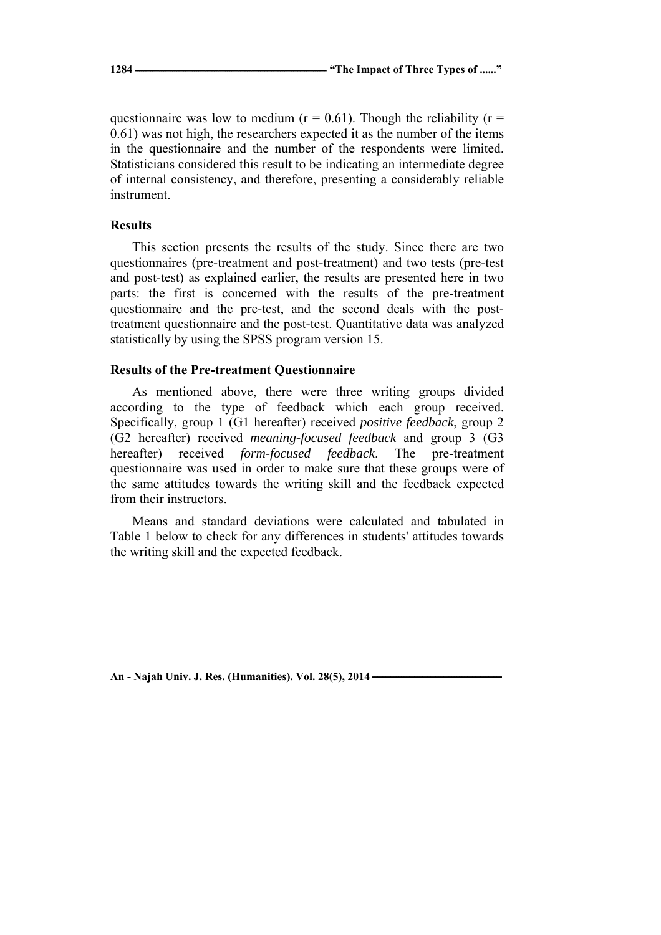questionnaire was low to medium ( $r = 0.61$ ). Though the reliability ( $r =$ 0.61) was not high, the researchers expected it as the number of the items in the questionnaire and the number of the respondents were limited. Statisticians considered this result to be indicating an intermediate degree of internal consistency, and therefore, presenting a considerably reliable instrument.

# **Results**

This section presents the results of the study. Since there are two questionnaires (pre-treatment and post-treatment) and two tests (pre-test and post-test) as explained earlier, the results are presented here in two parts: the first is concerned with the results of the pre-treatment questionnaire and the pre-test, and the second deals with the posttreatment questionnaire and the post-test. Quantitative data was analyzed statistically by using the SPSS program version 15.

## **Results of the Pre-treatment Questionnaire**

As mentioned above, there were three writing groups divided according to the type of feedback which each group received. Specifically, group 1 (G1 hereafter) received *positive feedback*, group 2 (G2 hereafter) received *meaning-focused feedback* and group 3 (G3 hereafter) received *form-focused feedback*. The pre-treatment questionnaire was used in order to make sure that these groups were of the same attitudes towards the writing skill and the feedback expected from their instructors.

Means and standard deviations were calculated and tabulated in Table 1 below to check for any differences in students' attitudes towards the writing skill and the expected feedback.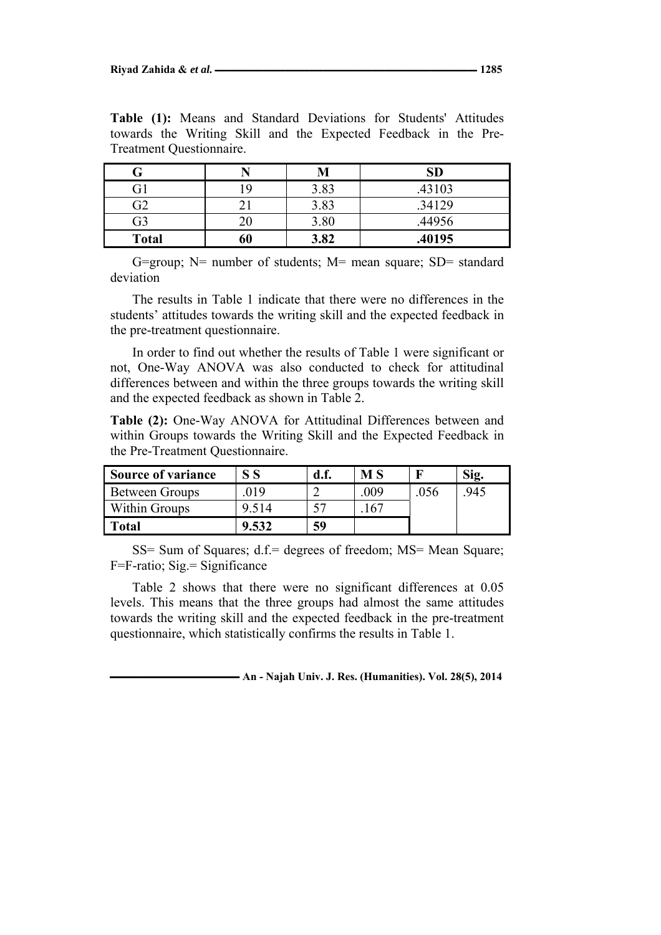|              |    | M    | SD     |
|--------------|----|------|--------|
| 31           |    | 3.83 | .43103 |
| 72           |    | 3.83 | .34129 |
| G3           |    | 3.80 | .44956 |
| <b>Total</b> | 60 | 3.82 | .40195 |

**Table (1):** Means and Standard Deviations for Students' Attitudes towards the Writing Skill and the Expected Feedback in the Pre-Treatment Questionnaire.

G=group;  $N=$  number of students;  $M=$  mean square;  $SD=$  standard deviation

The results in Table 1 indicate that there were no differences in the students' attitudes towards the writing skill and the expected feedback in the pre-treatment questionnaire.

In order to find out whether the results of Table 1 were significant or not, One-Way ANOVA was also conducted to check for attitudinal differences between and within the three groups towards the writing skill and the expected feedback as shown in Table 2.

**Table (2):** One-Way ANOVA for Attitudinal Differences between and within Groups towards the Writing Skill and the Expected Feedback in the Pre-Treatment Questionnaire.

| <b>Source of variance</b> |       | d.f. | M S            |      | Sig. |
|---------------------------|-------|------|----------------|------|------|
| Between Groups            | 019   |      | .009           | .056 | 945  |
| Within Groups             | 9.514 |      | 6 <sup>7</sup> |      |      |
| <b>Total</b>              | 9.532 | 59   |                |      |      |

SS= Sum of Squares; d.f.= degrees of freedom; MS= Mean Square; F=F-ratio; Sig.= Significance

Table 2 shows that there were no significant differences at 0.05 levels. This means that the three groups had almost the same attitudes towards the writing skill and the expected feedback in the pre-treatment questionnaire, which statistically confirms the results in Table 1.

 $\blacksquare$  **An - Najah Univ. J. Res. (Humanities). Vol. 28(5), 2014**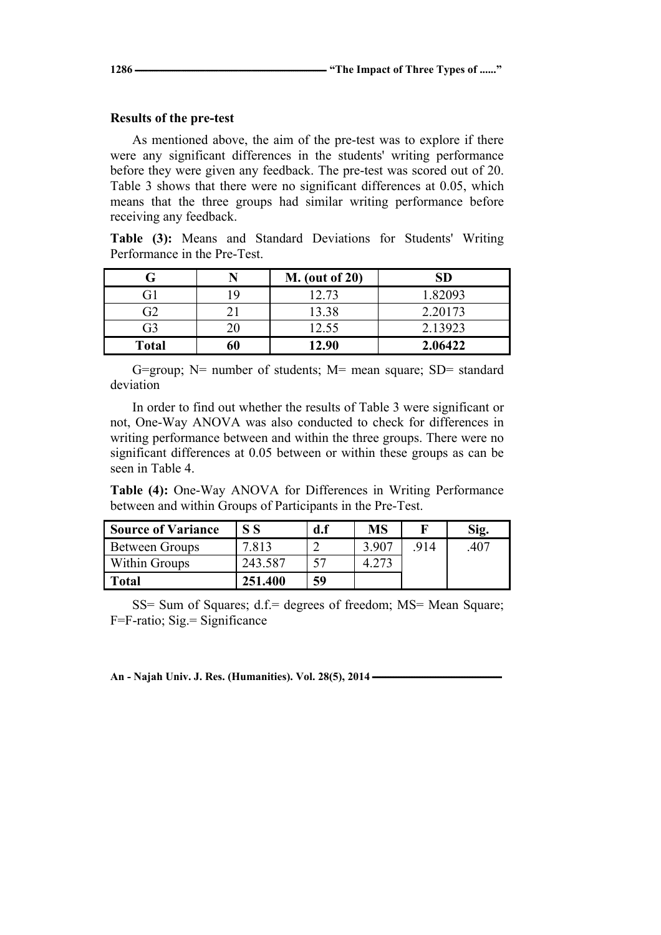## **Results of the pre-test**

As mentioned above, the aim of the pre-test was to explore if there were any significant differences in the students' writing performance before they were given any feedback. The pre-test was scored out of 20. Table 3 shows that there were no significant differences at 0.05, which means that the three groups had similar writing performance before receiving any feedback.

**Table (3):** Means and Standard Deviations for Students' Writing Performance in the Pre-Test.

|              |    | <b>M.</b> (out of 20) | SD      |
|--------------|----|-----------------------|---------|
| Fì           |    | 12.73                 | 1.82093 |
| 32           |    | 13.38                 | 2.20173 |
| G3           |    | 12.55                 | 2.13923 |
| <b>Total</b> | 60 | 12.90                 | 2.06422 |

G=group; N= number of students; M= mean square; SD= standard deviation

In order to find out whether the results of Table 3 were significant or not, One-Way ANOVA was also conducted to check for differences in writing performance between and within the three groups. There were no significant differences at 0.05 between or within these groups as can be seen in Table 4.

**Table (4):** One-Way ANOVA for Differences in Writing Performance between and within Groups of Participants in the Pre-Test.

| <b>Source of Variance</b> | S S     | d.f | MS    |     | Sig. |
|---------------------------|---------|-----|-------|-----|------|
| Between Groups            | 7 813   |     | 3.907 | 914 | .407 |
| Within Groups             | 243.587 |     |       |     |      |
| Total                     | 251.400 | 59  |       |     |      |

SS= Sum of Squares; d.f.= degrees of freedom; MS= Mean Square; F=F-ratio; Sig.= Significance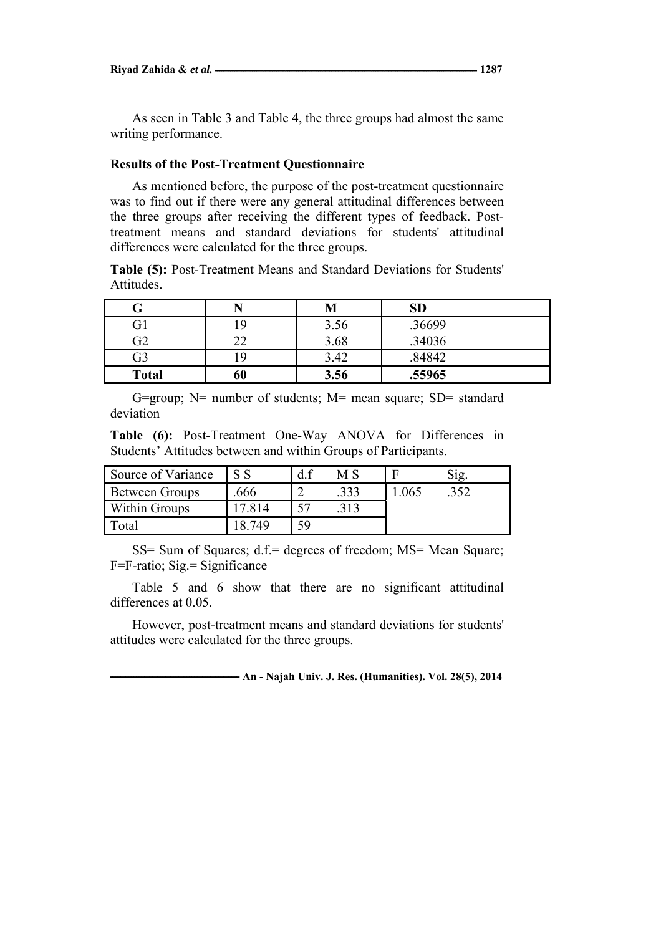As seen in Table 3 and Table 4, the three groups had almost the same writing performance.

## **Results of the Post-Treatment Questionnaire**

As mentioned before, the purpose of the post-treatment questionnaire was to find out if there were any general attitudinal differences between the three groups after receiving the different types of feedback. Posttreatment means and standard deviations for students' attitudinal differences were calculated for the three groups.

**Table (5):** Post-Treatment Means and Standard Deviations for Students' Attitudes.

| т            |          | M    | <b>SD</b> |
|--------------|----------|------|-----------|
| G1           | ١Q       | 3.56 | .36699    |
| G2           | າາ<br>-- | 3.68 | .34036    |
| G3           |          | 3.42 | .84842    |
| <b>Total</b> | 60       | 3.56 | .55965    |

G=group; N= number of students; M= mean square; SD= standard deviation

**Table (6):** Post-Treatment One-Way ANOVA for Differences in Students' Attitudes between and within Groups of Participants.

| Source of Variance   | $\mathbf{C}$ | d.f | МS |      | Sig. |
|----------------------|--------------|-----|----|------|------|
| Between Groups       | .666         |     |    | .065 | 352  |
| <b>Within Groups</b> | 7 814        |     |    |      |      |
| Total                | 8.749        | 59  |    |      |      |

SS= Sum of Squares; d.f.= degrees of freedom; MS= Mean Square; F=F-ratio; Sig.= Significance

Table 5 and 6 show that there are no significant attitudinal differences at 0.05.

However, post-treatment means and standard deviations for students' attitudes were calculated for the three groups.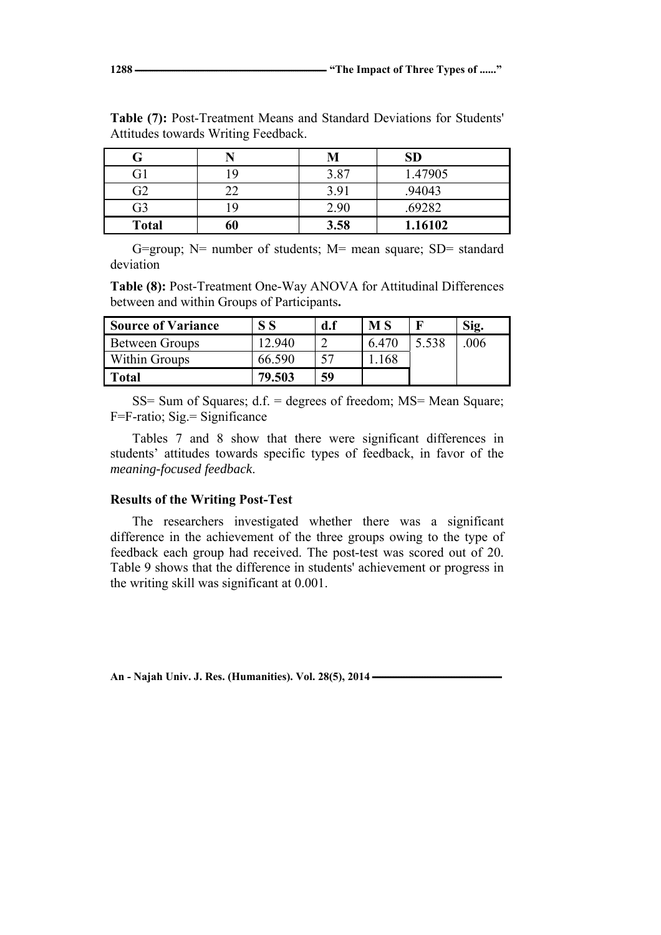|              |    | M    | SD      |
|--------------|----|------|---------|
|              |    | 3.87 | 1.47905 |
| G2           |    | 3.91 | .94043  |
| G3           |    | 2.90 | .69282  |
| <b>Total</b> | 60 | 3.58 | 1.16102 |

**Table (7):** Post-Treatment Means and Standard Deviations for Students' Attitudes towards Writing Feedback.

G=group; N= number of students; M= mean square; SD= standard deviation

**Table (8):** Post-Treatment One-Way ANOVA for Attitudinal Differences between and within Groups of Participants**.** 

| <b>Source of Variance</b> |        | d.f | <b>MS</b> |       | Sig. |
|---------------------------|--------|-----|-----------|-------|------|
| Between Groups            | 12 940 |     | 6.470     | 5.538 | 006  |
| Within Groups             | 66.590 |     | .168      |       |      |
| Total                     | 79.503 | 59  |           |       |      |

SS= Sum of Squares; d.f. = degrees of freedom; MS= Mean Square; F=F-ratio; Sig.= Significance

Tables 7 and 8 show that there were significant differences in students' attitudes towards specific types of feedback, in favor of the *meaning-focused feedback*.

### **Results of the Writing Post-Test**

The researchers investigated whether there was a significant difference in the achievement of the three groups owing to the type of feedback each group had received. The post-test was scored out of 20. Table 9 shows that the difference in students' achievement or progress in the writing skill was significant at 0.001.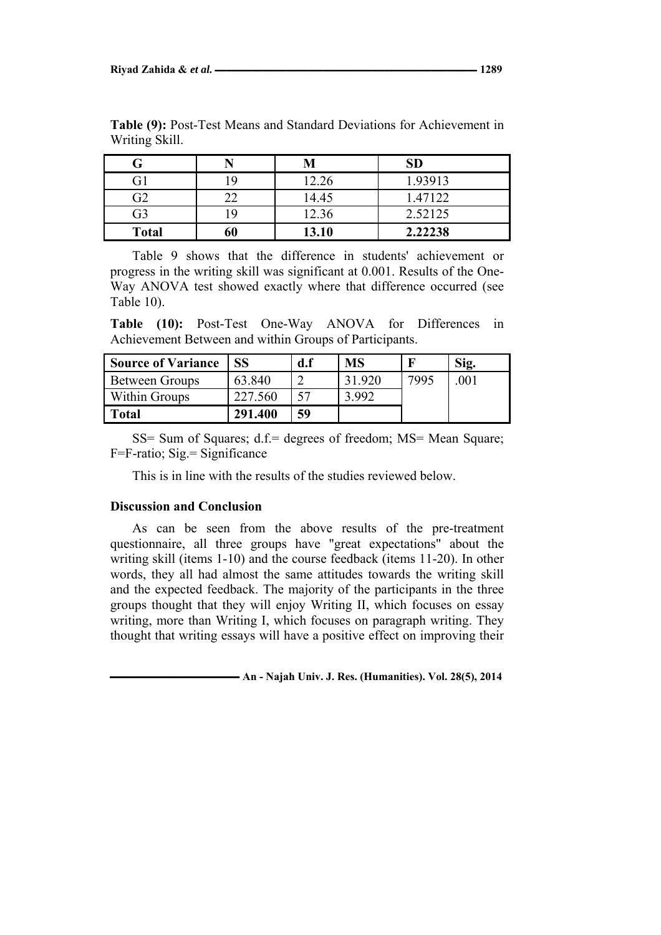|              |    | M     | SD      |
|--------------|----|-------|---------|
| G1           |    | 12.26 | 1.93913 |
| G2           |    | 14.45 | 1.47122 |
| G3           |    | 12.36 | 2.52125 |
| <b>Total</b> | 60 | 13.10 | 2.22238 |

**Table (9):** Post-Test Means and Standard Deviations for Achievement in Writing Skill.

Table 9 shows that the difference in students' achievement or progress in the writing skill was significant at 0.001. Results of the One-Way ANOVA test showed exactly where that difference occurred (see Table 10).

**Table (10):** Post-Test One-Way ANOVA for Differences in Achievement Between and within Groups of Participants.

| <b>Source of Variance</b> |         | d.f | <b>MS</b> |      | Sig. |
|---------------------------|---------|-----|-----------|------|------|
| Between Groups            | 63.840  |     | 31.920    | 7995 | 001  |
| Within Groups             | 227.560 | 57  | 3 992     |      |      |
| Total                     | 291.400 | 59  |           |      |      |

SS= Sum of Squares; d.f.= degrees of freedom; MS= Mean Square; F=F-ratio; Sig.= Significance

This is in line with the results of the studies reviewed below.

## **Discussion and Conclusion**

As can be seen from the above results of the pre-treatment questionnaire, all three groups have "great expectations" about the writing skill (items 1-10) and the course feedback (items 11-20). In other words, they all had almost the same attitudes towards the writing skill and the expected feedback. The majority of the participants in the three groups thought that they will enjoy Writing II, which focuses on essay writing, more than Writing I, which focuses on paragraph writing. They thought that writing essays will have a positive effect on improving their

 $\blacksquare$  **An - Najah Univ. J. Res. (Humanities). Vol. 28(5), 2014**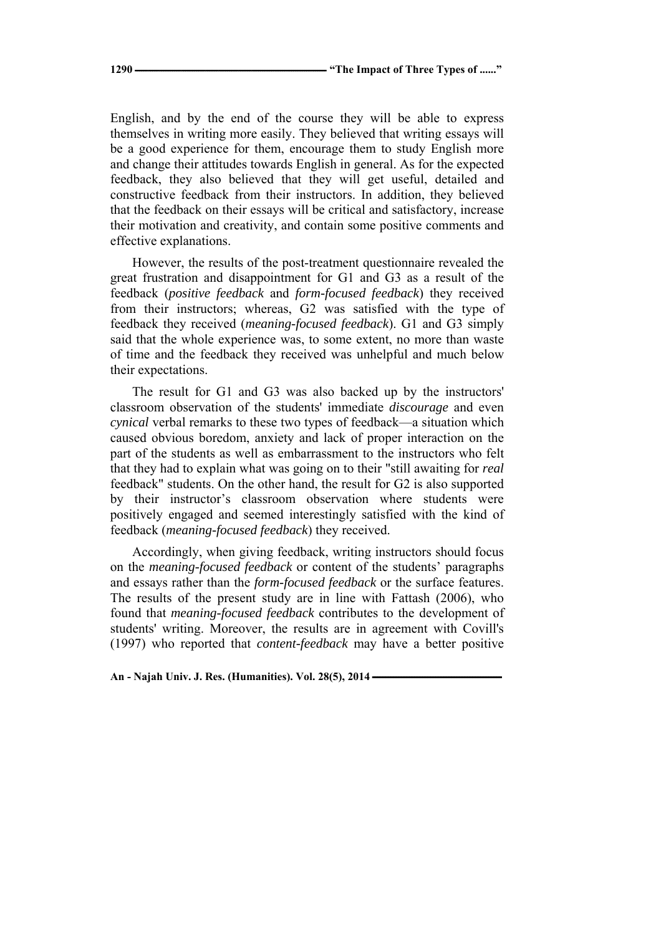English, and by the end of the course they will be able to express themselves in writing more easily. They believed that writing essays will be a good experience for them, encourage them to study English more and change their attitudes towards English in general. As for the expected feedback, they also believed that they will get useful, detailed and constructive feedback from their instructors. In addition, they believed that the feedback on their essays will be critical and satisfactory, increase their motivation and creativity, and contain some positive comments and effective explanations.

However, the results of the post-treatment questionnaire revealed the great frustration and disappointment for G1 and G3 as a result of the feedback (*positive feedback* and *form-focused feedback*) they received from their instructors; whereas, G2 was satisfied with the type of feedback they received (*meaning-focused feedback*). G1 and G3 simply said that the whole experience was, to some extent, no more than waste of time and the feedback they received was unhelpful and much below their expectations.

The result for G1 and G3 was also backed up by the instructors' classroom observation of the students' immediate *discourage* and even *cynical* verbal remarks to these two types of feedback—a situation which caused obvious boredom, anxiety and lack of proper interaction on the part of the students as well as embarrassment to the instructors who felt that they had to explain what was going on to their "still awaiting for *real* feedback" students. On the other hand, the result for G2 is also supported by their instructor's classroom observation where students were positively engaged and seemed interestingly satisfied with the kind of feedback (*meaning-focused feedback*) they received.

Accordingly, when giving feedback, writing instructors should focus on the *meaning-focused feedback* or content of the students' paragraphs and essays rather than the *form-focused feedback* or the surface features. The results of the present study are in line with Fattash (2006), who found that *meaning-focused feedback* contributes to the development of students' writing. Moreover, the results are in agreement with Covill's (1997) who reported that *content-feedback* may have a better positive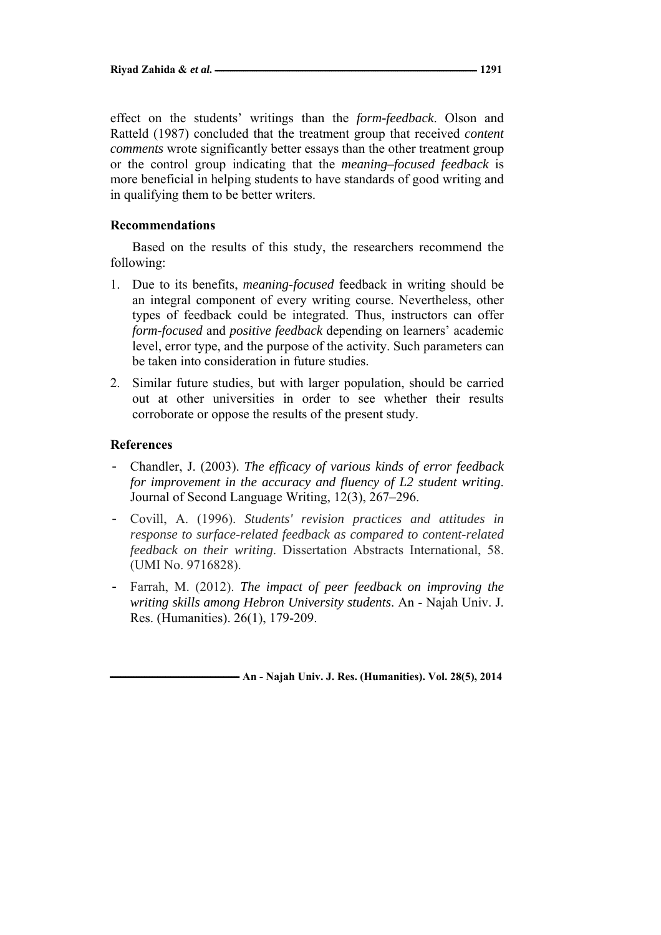effect on the students' writings than the *form-feedback*. Olson and Ratteld (1987) concluded that the treatment group that received *content comments* wrote significantly better essays than the other treatment group or the control group indicating that the *meaning–focused feedback* is more beneficial in helping students to have standards of good writing and in qualifying them to be better writers.

# **Recommendations**

Based on the results of this study, the researchers recommend the following:

- 1. Due to its benefits, *meaning*-*focused* feedback in writing should be an integral component of every writing course. Nevertheless, other types of feedback could be integrated. Thus, instructors can offer *form-focused* and *positive feedback* depending on learners' academic level, error type, and the purpose of the activity. Such parameters can be taken into consideration in future studies.
- 2. Similar future studies, but with larger population, should be carried out at other universities in order to see whether their results corroborate or oppose the results of the present study.

## **References**

- Chandler, J. (2003). *The efficacy of various kinds of error feedback for improvement in the accuracy and fluency of L2 student writing*. Journal of Second Language Writing, 12(3), 267–296.
- Covill, A. (1996). *Students' revision practices and attitudes in response to surface-related feedback as compared to content-related feedback on their writing*. Dissertation Abstracts International, 58. (UMI No. 9716828).
- Farrah, M. (2012). *The impact of peer feedback on improving the writing skills among Hebron University students*. An - Najah Univ. J. Res. (Humanities). 26(1), 179-209.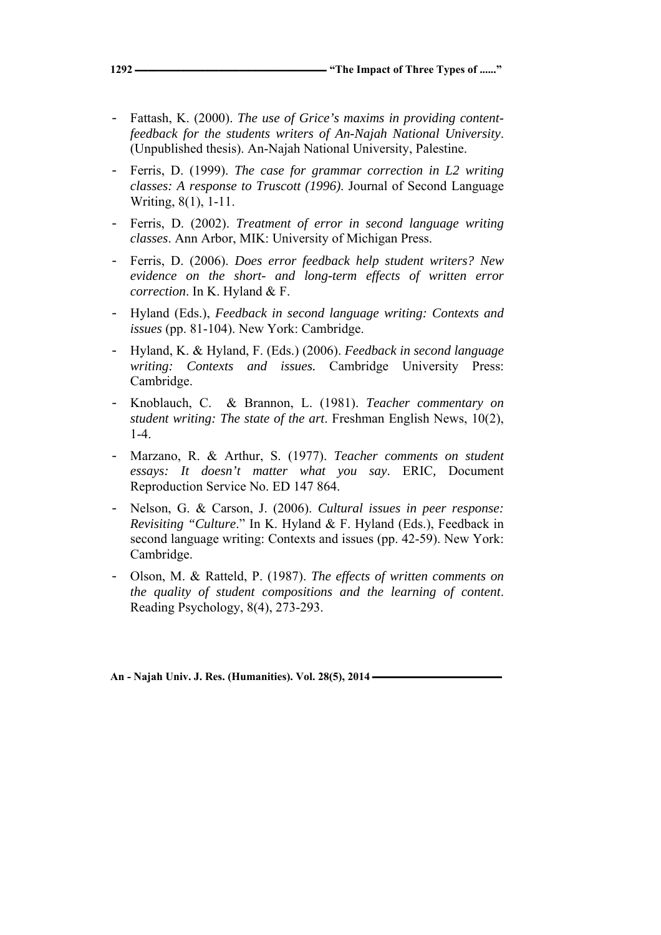- Fattash, K. (2000). *The use of Grice's maxims in providing contentfeedback for the students writers of An-Najah National University*. (Unpublished thesis). An-Najah National University, Palestine.
- Ferris, D. (1999). *The case for grammar correction in L2 writing classes: A response to Truscott (1996)*. Journal of Second Language Writing, 8(1), 1-11.
- Ferris, D. (2002). *Treatment of error in second language writing classes*. Ann Arbor, MIK: University of Michigan Press.
- Ferris, D. (2006). *Does error feedback help student writers? New evidence on the short- and long-term effects of written error correction*. In K. Hyland & F.
- Hyland (Eds.), *Feedback in second language writing: Contexts and issues* (pp. 81-104). New York: Cambridge.
- Hyland, K. & Hyland, F. (Eds.) (2006). *Feedback in second language writing: Contexts and issues.* Cambridge University Press: Cambridge.
- Knoblauch, C. & Brannon, L. (1981). *Teacher commentary on student writing: The state of the art*. Freshman English News, 10(2), 1-4.
- Marzano, R. & Arthur, S. (1977). *Teacher comments on student essays: It doesn't matter what you say*. ERIC*,* Document Reproduction Service No. ED 147 864.
- Nelson, G. & Carson, J. (2006). *Cultural issues in peer response: Revisiting "Culture*." In K. Hyland & F. Hyland (Eds.), Feedback in second language writing: Contexts and issues (pp. 42-59). New York: Cambridge.
- Olson, M. & Ratteld, P. (1987). *The effects of written comments on the quality of student compositions and the learning of content*. Reading Psychology, 8(4), 273-293.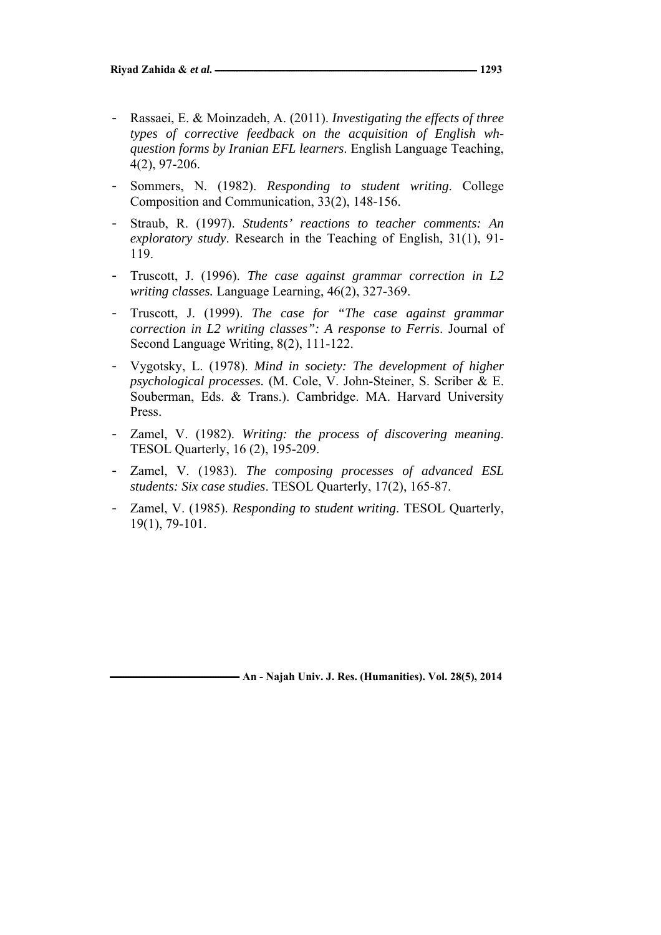- Rassaei, E. & Moinzadeh, A. (2011). *Investigating the effects of three types of corrective feedback on the acquisition of English whquestion forms by Iranian EFL learners*. English Language Teaching, 4(2), 97-206.
- Sommers, N. (1982). *Responding to student writing*. College Composition and Communication, 33(2), 148-156.
- Straub, R. (1997). *Students' reactions to teacher comments: An exploratory study*. Research in the Teaching of English, 31(1), 91- 119.
- Truscott, J. (1996). *The case against grammar correction in L2 writing classes.* Language Learning, 46(2), 327-369.
- Truscott, J. (1999). *The case for "The case against grammar correction in L2 writing classes": A response to Ferris*. Journal of Second Language Writing, 8(2), 111-122.
- Vygotsky, L. (1978). *Mind in society: The development of higher psychological processes.* (M. Cole, V. John-Steiner, S. Scriber & E. Souberman, Eds. & Trans.). Cambridge. MA. Harvard University Press.
- Zamel, V. (1982). *Writing: the process of discovering meaning*. TESOL Quarterly, 16 (2), 195-209.
- Zamel, V. (1983). *The composing processes of advanced ESL students: Six case studies*. TESOL Quarterly, 17(2), 165-87.
- Zamel, V. (1985). *Responding to student writing*. TESOL Quarterly, 19(1), 79-101.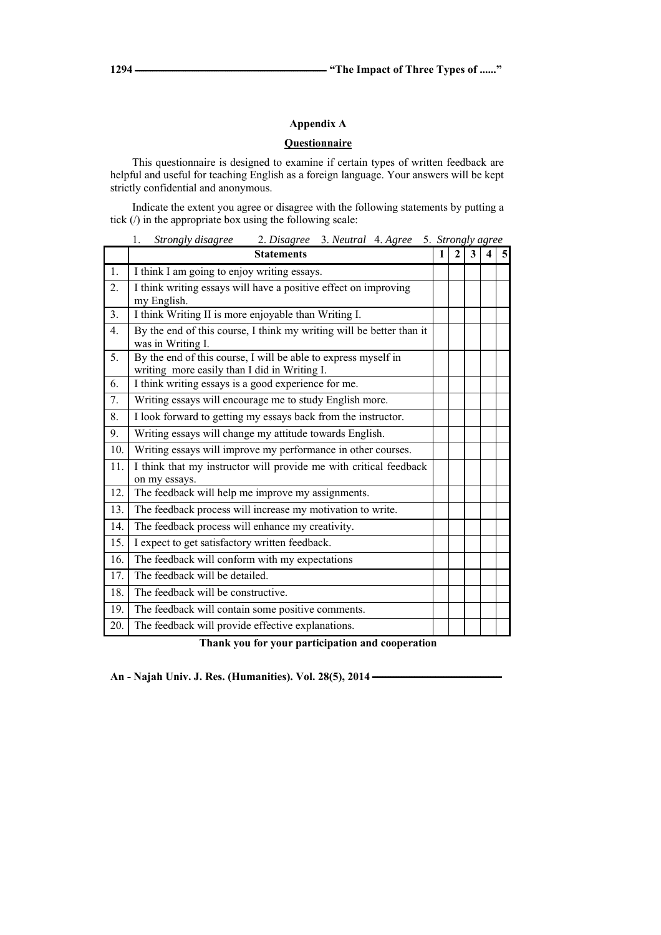## **Appendix A**

### **Questionnaire**

This questionnaire is designed to examine if certain types of written feedback are helpful and useful for teaching English as a foreign language. Your answers will be kept strictly confidential and anonymous.

Indicate the extent you agree or disagree with the following statements by putting a tick (/) in the appropriate box using the following scale:

1. *Strongly disagree* 2. *Disagree* 3. *Neutral* 4. *Agree* 5. *Strongly agree*

|                  | <b>Statements</b>                                                                                              | $\mathbf{1}$ | $\mathbf{2}$ | 3 | 5 |
|------------------|----------------------------------------------------------------------------------------------------------------|--------------|--------------|---|---|
| 1.               | I think I am going to enjoy writing essays.                                                                    |              |              |   |   |
| $\overline{2}$ . | I think writing essays will have a positive effect on improving<br>my English.                                 |              |              |   |   |
| 3.               | I think Writing II is more enjoyable than Writing I.                                                           |              |              |   |   |
| $\overline{4}$ . | By the end of this course, I think my writing will be better than it<br>was in Writing I.                      |              |              |   |   |
| 5.               | By the end of this course, I will be able to express myself in<br>writing more easily than I did in Writing I. |              |              |   |   |
| 6.               | I think writing essays is a good experience for me.                                                            |              |              |   |   |
| 7.               | Writing essays will encourage me to study English more.                                                        |              |              |   |   |
| 8.               | I look forward to getting my essays back from the instructor.                                                  |              |              |   |   |
| 9.               | Writing essays will change my attitude towards English.                                                        |              |              |   |   |
| 10.              | Writing essays will improve my performance in other courses.                                                   |              |              |   |   |
| 11.              | I think that my instructor will provide me with critical feedback<br>on my essays.                             |              |              |   |   |
| 12.              | The feedback will help me improve my assignments.                                                              |              |              |   |   |
| 13.              | The feedback process will increase my motivation to write.                                                     |              |              |   |   |
| 14.              | The feedback process will enhance my creativity.                                                               |              |              |   |   |
| 15.              | I expect to get satisfactory written feedback.                                                                 |              |              |   |   |
| 16.              | The feedback will conform with my expectations                                                                 |              |              |   |   |
| 17.              | The feedback will be detailed.                                                                                 |              |              |   |   |
| 18.              | The feedback will be constructive.                                                                             |              |              |   |   |
| 19.              | The feedback will contain some positive comments.                                                              |              |              |   |   |
| 20.              | The feedback will provide effective explanations.                                                              |              |              |   |   |

#### **Thank you for your participation and cooperation**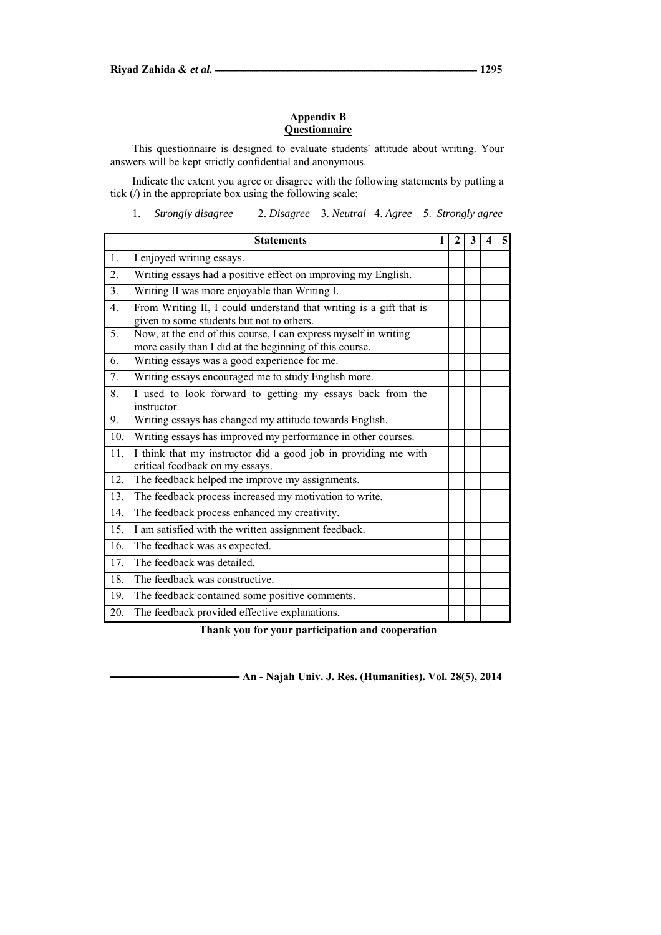#### **Appendix B Questionnaire**

This questionnaire is designed to evaluate students' attitude about writing. Your answers will be kept strictly confidential and anonymous.

Indicate the extent you agree or disagree with the following statements by putting a tick (/) in the appropriate box using the following scale:

1. *Strongly disagree* 2. *Disagree* 3. *Neutral* 4. *Agree* 5. *Strongly agree*

|                | <b>Statements</b>                                                                                                          | 1 | $\mathbf{2}$ | 3 | 4 | 5 |
|----------------|----------------------------------------------------------------------------------------------------------------------------|---|--------------|---|---|---|
| 1.             | I enjoyed writing essays.                                                                                                  |   |              |   |   |   |
| 2.             | Writing essays had a positive effect on improving my English.                                                              |   |              |   |   |   |
| 3.             | Writing II was more enjoyable than Writing I.                                                                              |   |              |   |   |   |
| 4.             | From Writing II, I could understand that writing is a gift that is<br>given to some students but not to others.            |   |              |   |   |   |
| 5 <sub>1</sub> | Now, at the end of this course, I can express myself in writing<br>more easily than I did at the beginning of this course. |   |              |   |   |   |
| 6.             | Writing essays was a good experience for me.                                                                               |   |              |   |   |   |
| 7.             | Writing essays encouraged me to study English more.                                                                        |   |              |   |   |   |
| 8.             | I used to look forward to getting my essays back from the<br>instructor.                                                   |   |              |   |   |   |
| 9.             | Writing essays has changed my attitude towards English.                                                                    |   |              |   |   |   |
| 10.            | Writing essays has improved my performance in other courses.                                                               |   |              |   |   |   |
| 11.            | I think that my instructor did a good job in providing me with<br>critical feedback on my essays.                          |   |              |   |   |   |
| 12.            | The feedback helped me improve my assignments.                                                                             |   |              |   |   |   |
| 13.            | The feedback process increased my motivation to write.                                                                     |   |              |   |   |   |
| 14.            | The feedback process enhanced my creativity.                                                                               |   |              |   |   |   |
| 15.            | I am satisfied with the written assignment feedback.                                                                       |   |              |   |   |   |
| 16.            | The feedback was as expected.                                                                                              |   |              |   |   |   |
| 17.            | The feedback was detailed.                                                                                                 |   |              |   |   |   |
| 18.            | The feedback was constructive.                                                                                             |   |              |   |   |   |
| 19.            | The feedback contained some positive comments.                                                                             |   |              |   |   |   |
| 20.            | The feedback provided effective explanations.                                                                              |   |              |   |   |   |

**Thank you for your participation and cooperation**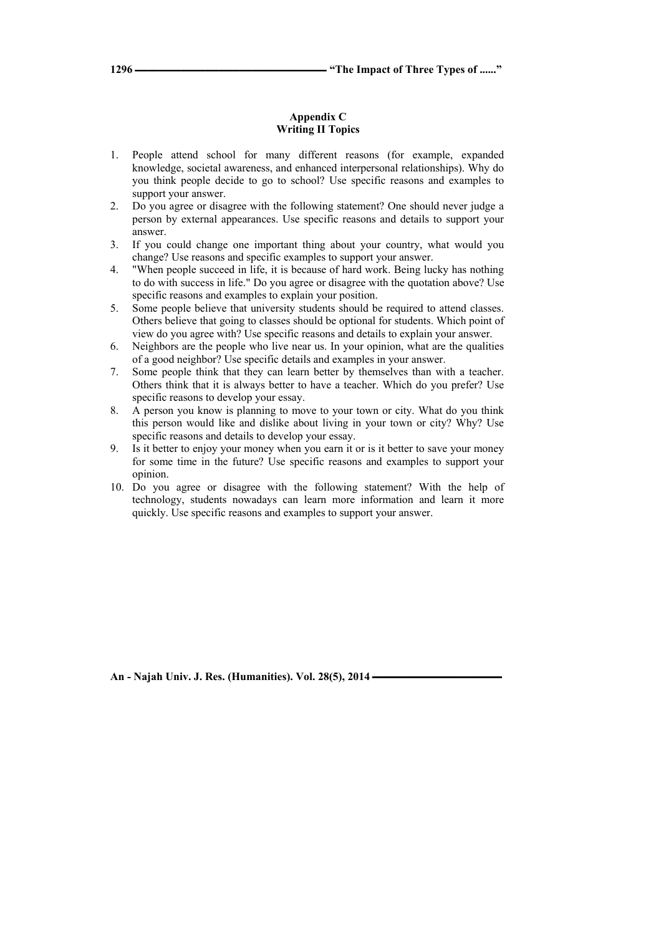#### **Appendix C Writing II Topics**

- 1. People attend school for many different reasons (for example, expanded knowledge, societal awareness, and enhanced interpersonal relationships). Why do you think people decide to go to school? Use specific reasons and examples to support your answer.
- 2. Do you agree or disagree with the following statement? One should never judge a person by external appearances. Use specific reasons and details to support your answer.
- 3. If you could change one important thing about your country, what would you change? Use reasons and specific examples to support your answer.
- 4. "When people succeed in life, it is because of hard work. Being lucky has nothing to do with success in life." Do you agree or disagree with the quotation above? Use specific reasons and examples to explain your position.
- 5. Some people believe that university students should be required to attend classes. Others believe that going to classes should be optional for students. Which point of view do you agree with? Use specific reasons and details to explain your answer.
- 6. Neighbors are the people who live near us. In your opinion, what are the qualities of a good neighbor? Use specific details and examples in your answer.
- 7. Some people think that they can learn better by themselves than with a teacher. Others think that it is always better to have a teacher. Which do you prefer? Use specific reasons to develop your essay.
- 8. A person you know is planning to move to your town or city. What do you think this person would like and dislike about living in your town or city? Why? Use specific reasons and details to develop your essay.
- 9. Is it better to enjoy your money when you earn it or is it better to save your money for some time in the future? Use specific reasons and examples to support your opinion.
- 10. Do you agree or disagree with the following statement? With the help of technology, students nowadays can learn more information and learn it more quickly. Use specific reasons and examples to support your answer.

An - Najah Univ. J. Res. (Humanities). Vol. 28(5), 2014 **-**